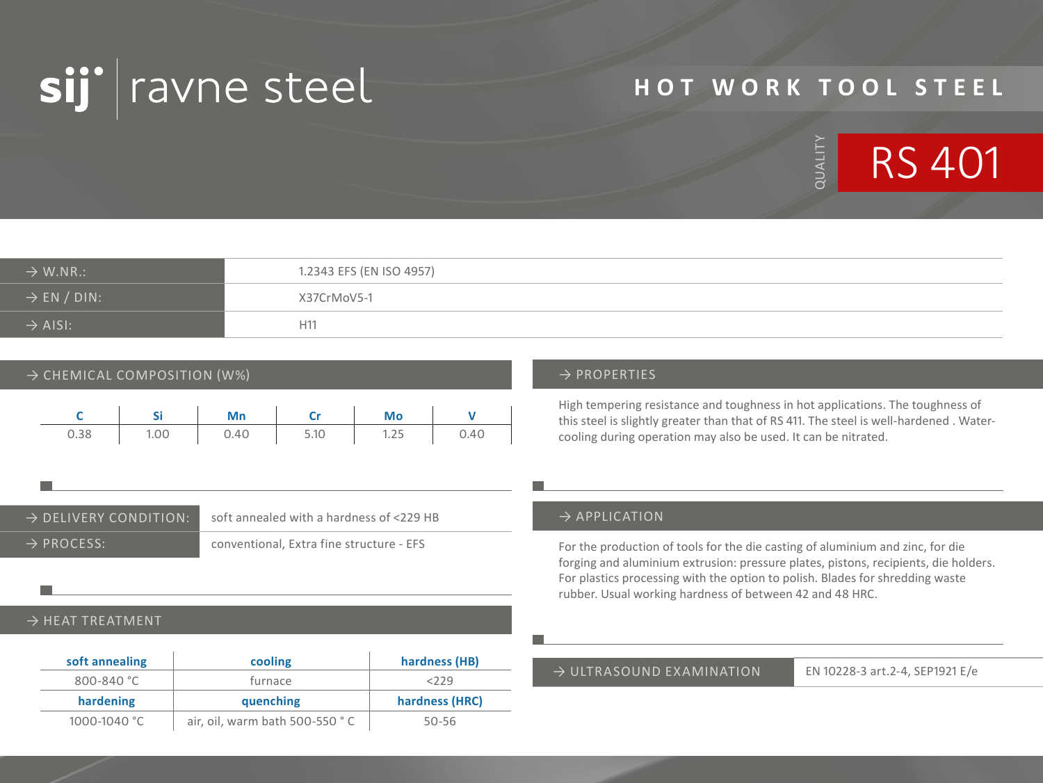

# **HOT WORK TOOL STEEL**



| $\rightarrow$ W.NR.:    | 1.2343 EFS (EN ISO 4957) |
|-------------------------|--------------------------|
| $\rightarrow$ EN / DIN: | X37CrMoV5-1              |
| $\rightarrow$ AISI:     | H <sub>11</sub>          |

### $\rightarrow$  CHEMICAL COMPOSITION (W%)  $\rightarrow$  PROPERTIES

|      |      | Mn     | <b>Critics</b> | Mo                     |      |
|------|------|--------|----------------|------------------------|------|
| 0.38 | 1.00 | $0.40$ | 5.10           | $1 \quad 1.25 \quad 1$ | 0.40 |

→ DELIVERY CONDITION: soft annealed with a hardness of <229 HB → PROCESS: conventional, Extra fine structure - EFS

#### $\rightarrow$  HEAT TREATMENT

| soft annealing | cooling   | hardness (HB)  |
|----------------|-----------|----------------|
| $800 - 840$ °C | furnace   | < 229          |
|                |           |                |
| hardening      | quenching | hardness (HRC) |

High tempering resistance and toughness in hot applications. The toughness of this steel is slightly greater than that of RS 411. The steel is well-hardened . Watercooling during operation may also be used. It can be nitrated.

#### $\rightarrow$  APPLICATION

For the production of tools for the die casting of aluminium and zinc, for die forging and aluminium extrusion: pressure plates, pistons, recipients, die holders. For plastics processing with the option to polish. Blades for shredding waste rubber. Usual working hardness of between 42 and 48 HRC.

#### → ULTRASOUND EXAMINATION EN 10228-3 art.2-4, SEP1921 E/e